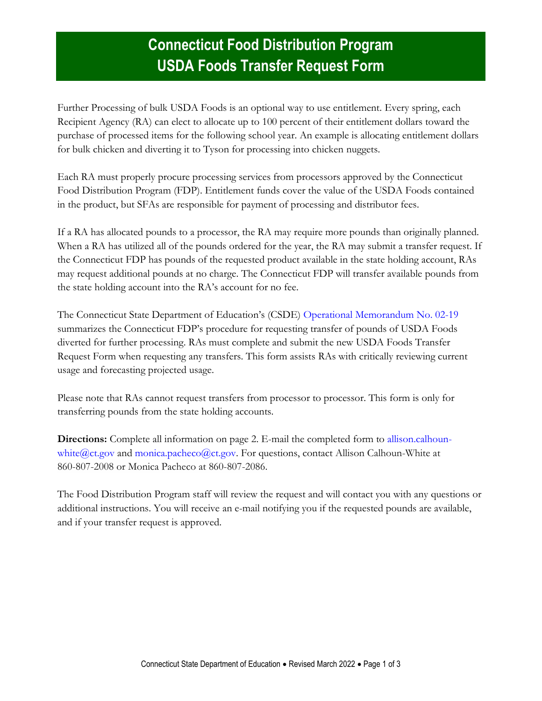## **Connecticut Food Distribution Program USDA Foods Transfer Request Form**

Further Processing of bulk USDA Foods is an optional way to use entitlement. Every spring, each Recipient Agency (RA) can elect to allocate up to 100 percent of their entitlement dollars toward the purchase of processed items for the following school year. An example is allocating entitlement dollars for bulk chicken and diverting it to Tyson for processing into chicken nuggets.

Each RA must properly procure processing services from processors approved by the Connecticut Food Distribution Program (FDP). Entitlement funds cover the value of the USDA Foods contained in the product, but SFAs are responsible for payment of processing and distributor fees.

If a RA has allocated pounds to a processor, the RA may require more pounds than originally planned. When a RA has utilized all of the pounds ordered for the year, the RA may submit a transfer request. If the Connecticut FDP has pounds of the requested product available in the state holding account, RAs may request additional pounds at no charge. The Connecticut FDP will transfer available pounds from the state holding account into the RA's account for no fee.

The Connecticut State Department of Education's (CSDE) [Operational Memorandum No. 02-19](https://portal.ct.gov/-/media/SDE/Nutrition/NSLP/Memos/OM2019/OM02-19.pdf) summarizes the Connecticut FDP's procedure for requesting transfer of pounds of USDA Foods diverted for further processing. RAs must complete and submit the new USDA Foods Transfer Request Form when requesting any transfers. This form assists RAs with critically reviewing current usage and forecasting projected usage.

Please note that RAs cannot request transfers from processor to processor. This form is only for transferring pounds from the state holding accounts.

**Directions:** Complete all information on page 2. E-mail the completed form to [allison.calhoun](mailto:allison.calhoun-white@ct.gov)white  $@ct.gov$  and monica.pacheco  $@ct.gov$ . For questions, contact Allison Calhoun-White at 860-807-2008 or Monica Pacheco at 860-807-2086.

The Food Distribution Program staff will review the request and will contact you with any questions or additional instructions. You will receive an e-mail notifying you if the requested pounds are available, and if your transfer request is approved.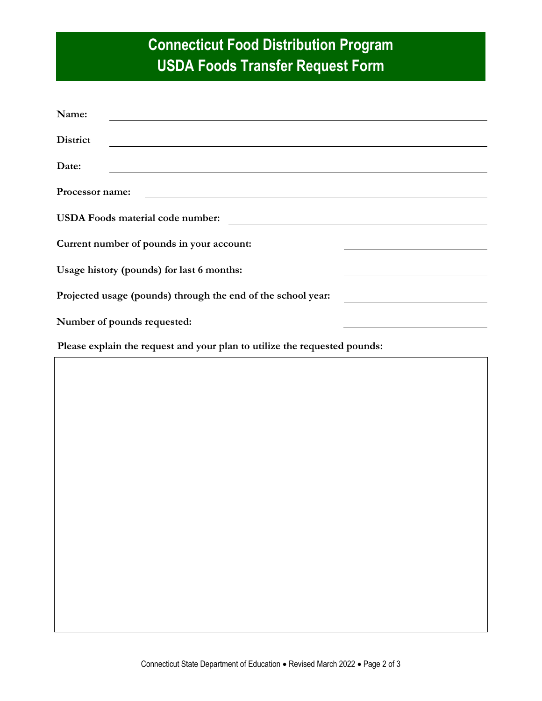## **Connecticut Food Distribution Program USDA Foods Transfer Request Form**

| Name:                                                                     |
|---------------------------------------------------------------------------|
| <b>District</b>                                                           |
| Date:                                                                     |
| Processor name:                                                           |
| <b>USDA Foods material code number:</b>                                   |
| Current number of pounds in your account:                                 |
| Usage history (pounds) for last 6 months:                                 |
| Projected usage (pounds) through the end of the school year:              |
| Number of pounds requested:                                               |
| Please explain the request and your plan to utilize the requested pounds: |